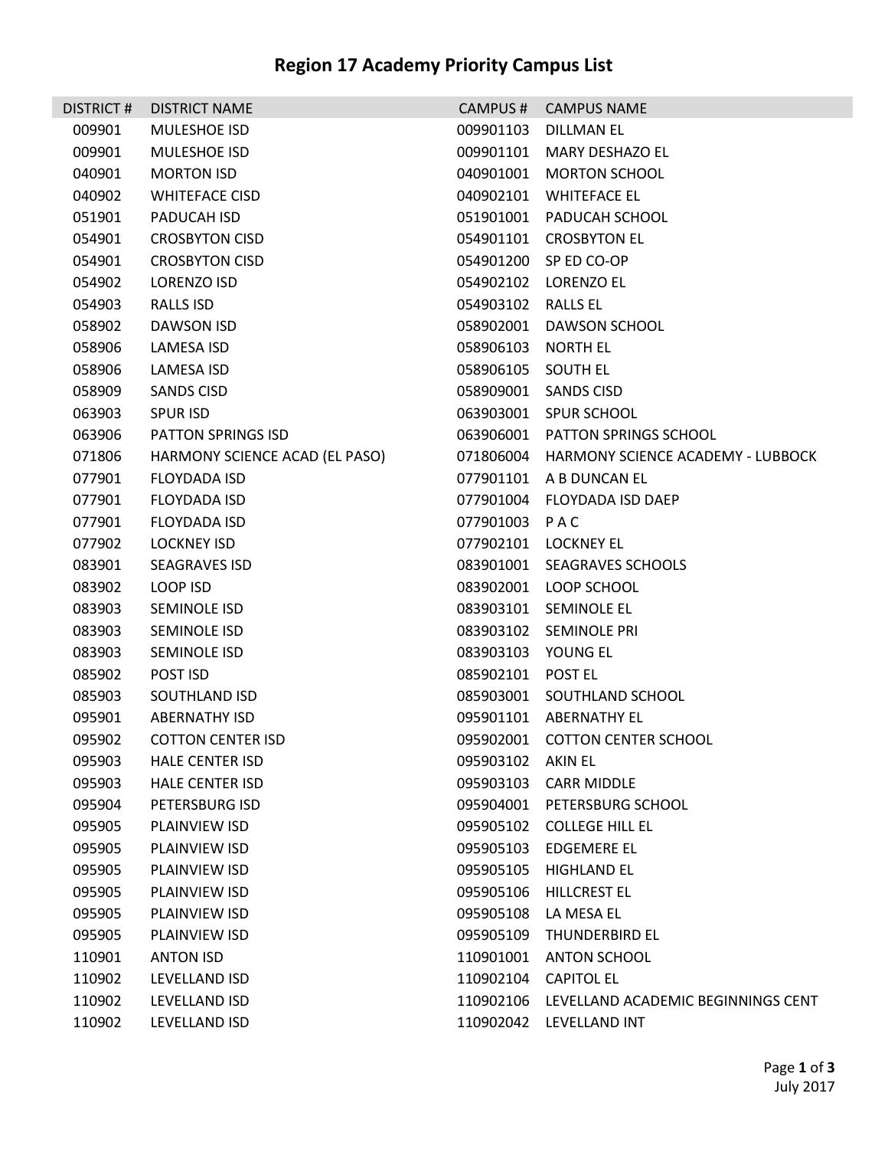| <b>DISTRICT#</b> | <b>DISTRICT NAME</b>           | CAMPUS#           | <b>CAMPUS NAME</b>                           |  |
|------------------|--------------------------------|-------------------|----------------------------------------------|--|
| 009901           | MULESHOE ISD                   | 009901103         | DILLMAN EL                                   |  |
| 009901           | <b>MULESHOE ISD</b>            | 009901101         | MARY DESHAZO EL                              |  |
| 040901           | <b>MORTON ISD</b>              | 040901001         | <b>MORTON SCHOOL</b>                         |  |
| 040902           | <b>WHITEFACE CISD</b>          | 040902101         | WHITEFACE EL                                 |  |
| 051901           | PADUCAH ISD                    | 051901001         | PADUCAH SCHOOL                               |  |
| 054901           | <b>CROSBYTON CISD</b>          |                   | 054901101 CROSBYTON EL                       |  |
| 054901           | <b>CROSBYTON CISD</b>          |                   | 054901200 SP ED CO-OP                        |  |
| 054902           | LORENZO ISD                    |                   | 054902102 LORENZO EL                         |  |
| 054903           | <b>RALLS ISD</b>               | 054903102         | <b>RALLS EL</b>                              |  |
| 058902           | DAWSON ISD                     | 058902001         | DAWSON SCHOOL                                |  |
| 058906           | LAMESA ISD                     | 058906103         | NORTH EL                                     |  |
| 058906           | LAMESA ISD                     | 058906105         | SOUTH EL                                     |  |
| 058909           | SANDS CISD                     | 058909001         | <b>SANDS CISD</b>                            |  |
| 063903           | <b>SPUR ISD</b>                |                   | 063903001 SPUR SCHOOL                        |  |
| 063906           | PATTON SPRINGS ISD             | 063906001         | <b>PATTON SPRINGS SCHOOL</b>                 |  |
| 071806           | HARMONY SCIENCE ACAD (EL PASO) |                   | 071806004 HARMONY SCIENCE ACADEMY - LUBBOCK  |  |
| 077901           | <b>FLOYDADA ISD</b>            | 077901101         | A B DUNCAN EL                                |  |
| 077901           | FLOYDADA ISD                   | 077901004         | FLOYDADA ISD DAEP                            |  |
| 077901           | FLOYDADA ISD                   | 077901003 PAC     |                                              |  |
| 077902           | LOCKNEY ISD                    |                   | 077902101 LOCKNEY EL                         |  |
| 083901           | <b>SEAGRAVES ISD</b>           |                   | 083901001 SEAGRAVES SCHOOLS                  |  |
| 083902           | LOOP ISD                       |                   | 083902001 LOOP SCHOOL                        |  |
| 083903           | SEMINOLE ISD                   |                   | 083903101 SEMINOLE EL                        |  |
| 083903           | SEMINOLE ISD                   |                   | 083903102 SEMINOLE PRI                       |  |
| 083903           | SEMINOLE ISD                   | 083903103         | YOUNG EL                                     |  |
| 085902           | POST ISD                       | 085902101 POST EL |                                              |  |
| 085903           | SOUTHLAND ISD                  |                   | 085903001 SOUTHLAND SCHOOL                   |  |
| 095901           | <b>ABERNATHY ISD</b>           |                   | 095901101 ABERNATHY EL                       |  |
| 095902           | COTTON CENTER ISD              |                   | 095902001 COTTON CENTER SCHOOL               |  |
| 095903           | <b>HALE CENTER ISD</b>         | 095903102 AKIN EL |                                              |  |
| 095903           | <b>HALE CENTER ISD</b>         |                   | 095903103 CARR MIDDLE                        |  |
| 095904           | PETERSBURG ISD                 |                   | 095904001 PETERSBURG SCHOOL                  |  |
| 095905           | PLAINVIEW ISD                  |                   | 095905102 COLLEGE HILL EL                    |  |
| 095905           | PLAINVIEW ISD                  |                   | 095905103 EDGEMERE EL                        |  |
| 095905           | PLAINVIEW ISD                  | 095905105         | <b>HIGHLAND EL</b>                           |  |
| 095905           | PLAINVIEW ISD                  | 095905106         | HILLCREST EL                                 |  |
| 095905           | PLAINVIEW ISD                  | 095905108         | LA MESA EL                                   |  |
| 095905           | PLAINVIEW ISD                  |                   | 095905109 THUNDERBIRD EL                     |  |
| 110901           | <b>ANTON ISD</b>               | 110901001         | <b>ANTON SCHOOL</b>                          |  |
| 110902           | LEVELLAND ISD                  |                   | 110902104 CAPITOL EL                         |  |
| 110902           | LEVELLAND ISD                  |                   | 110902106 LEVELLAND ACADEMIC BEGINNINGS CENT |  |
| 110902           | LEVELLAND ISD                  |                   | 110902042 LEVELLAND INT                      |  |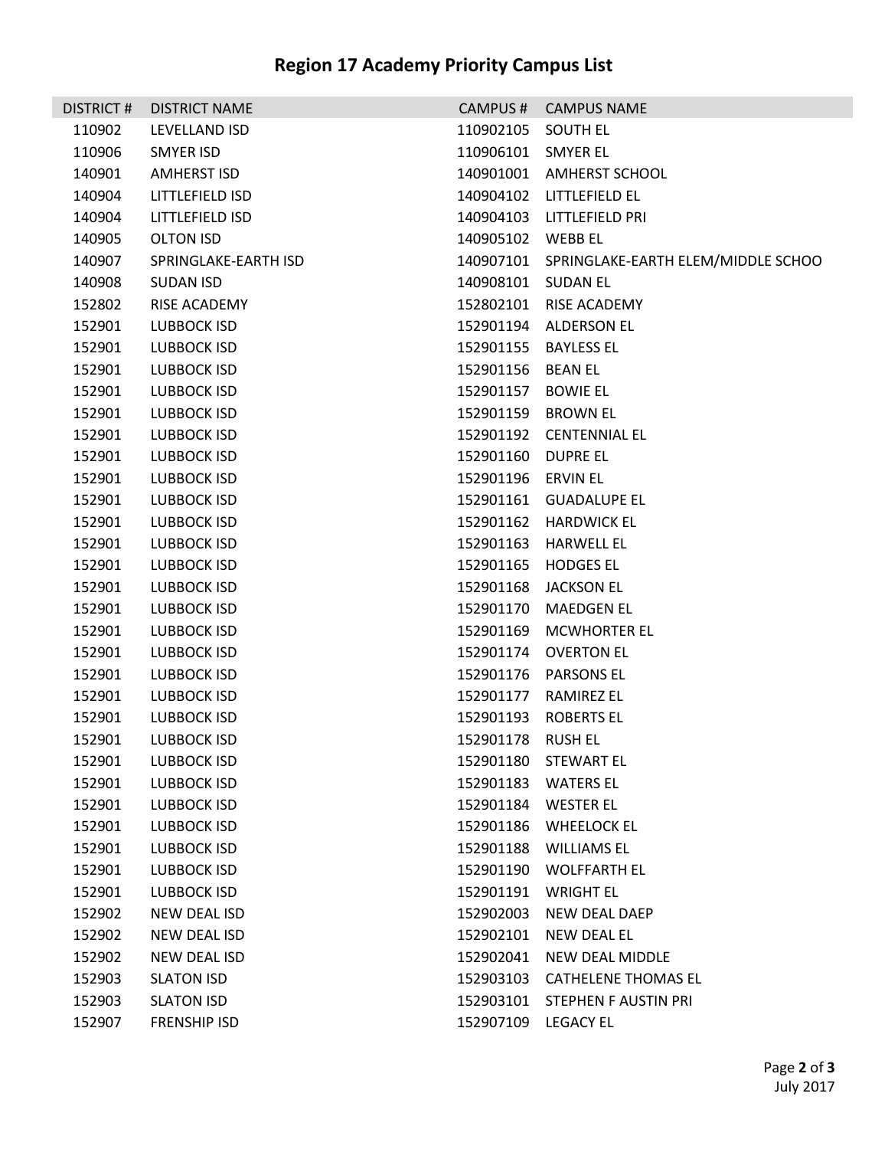| <b>DISTRICT#</b> | <b>DISTRICT NAME</b> | CAMPUS#             | <b>CAMPUS NAME</b>                           |  |
|------------------|----------------------|---------------------|----------------------------------------------|--|
| 110902           | LEVELLAND ISD        | 110902105           | SOUTH EL                                     |  |
| 110906           | SMYER ISD            | 110906101 SMYER EL  |                                              |  |
| 140901           | <b>AMHERST ISD</b>   |                     | 140901001 AMHERST SCHOOL                     |  |
| 140904           | LITTLEFIELD ISD      |                     | 140904102 LITTLEFIELD EL                     |  |
| 140904           | LITTLEFIELD ISD      |                     | 140904103 LITTLEFIELD PRI                    |  |
| 140905           | <b>OLTON ISD</b>     | 140905102 WEBB EL   |                                              |  |
| 140907           | SPRINGLAKE-EARTH ISD |                     | 140907101 SPRINGLAKE-EARTH ELEM/MIDDLE SCHOO |  |
| 140908           | <b>SUDAN ISD</b>     | 140908101 SUDAN EL  |                                              |  |
| 152802           | RISE ACADEMY         |                     | 152802101 RISE ACADEMY                       |  |
| 152901           | LUBBOCK ISD          |                     | 152901194 ALDERSON EL                        |  |
| 152901           | LUBBOCK ISD          |                     | 152901155 BAYLESS EL                         |  |
| 152901           | LUBBOCK ISD          | 152901156           | BEAN EL                                      |  |
| 152901           | LUBBOCK ISD          | 152901157           | <b>BOWIE EL</b>                              |  |
| 152901           | LUBBOCK ISD          | 152901159 BROWN EL  |                                              |  |
| 152901           | LUBBOCK ISD          |                     | 152901192 CENTENNIAL EL                      |  |
| 152901           | LUBBOCK ISD          | 152901160 DUPRE EL  |                                              |  |
| 152901           | LUBBOCK ISD          | 152901196 ERVIN EL  |                                              |  |
| 152901           | LUBBOCK ISD          |                     | 152901161 GUADALUPE EL                       |  |
| 152901           | LUBBOCK ISD          |                     | 152901162 HARDWICK EL                        |  |
| 152901           | LUBBOCK ISD          |                     | 152901163 HARWELL EL                         |  |
| 152901           | LUBBOCK ISD          |                     | 152901165 HODGES EL                          |  |
| 152901           | <b>LUBBOCK ISD</b>   | 152901168           | JACKSON EL                                   |  |
| 152901           | LUBBOCK ISD          | 152901170           | MAEDGEN EL                                   |  |
| 152901           | LUBBOCK ISD          |                     | 152901169 MCWHORTER EL                       |  |
| 152901           | LUBBOCK ISD          |                     | 152901174 OVERTON EL                         |  |
| 152901           | LUBBOCK ISD          |                     | 152901176 PARSONS EL                         |  |
| 152901           | LUBBOCK ISD          | 152901177           | RAMIREZ EL                                   |  |
| 152901           | LUBBOCK ISD          |                     | 152901193 ROBERTS EL                         |  |
| 152901           | LUBBOCK ISD          | 152901178 RUSH EL   |                                              |  |
| 152901           | LUBBOCK ISD          |                     | 152901180 STEWART EL                         |  |
| 152901           | LUBBOCK ISD          |                     | 152901183 WATERS EL                          |  |
| 152901           | LUBBOCK ISD          |                     | 152901184 WESTER EL                          |  |
| 152901           | <b>LUBBOCK ISD</b>   |                     | 152901186 WHEELOCK EL                        |  |
| 152901           | <b>LUBBOCK ISD</b>   |                     | 152901188 WILLIAMS EL                        |  |
| 152901           | LUBBOCK ISD          |                     | 152901190 WOLFFARTH EL                       |  |
| 152901           | <b>LUBBOCK ISD</b>   | 152901191           | WRIGHT EL                                    |  |
| 152902           | NEW DEAL ISD         | 152902003           | NEW DEAL DAEP                                |  |
| 152902           | NEW DEAL ISD         | 152902101           | NEW DEAL EL                                  |  |
| 152902           | NEW DEAL ISD         | 152902041           | NEW DEAL MIDDLE                              |  |
| 152903           | <b>SLATON ISD</b>    |                     | 152903103 CATHELENE THOMAS EL                |  |
| 152903           | <b>SLATON ISD</b>    |                     | 152903101 STEPHEN F AUSTIN PRI               |  |
| 152907           | <b>FRENSHIP ISD</b>  | 152907109 LEGACY EL |                                              |  |